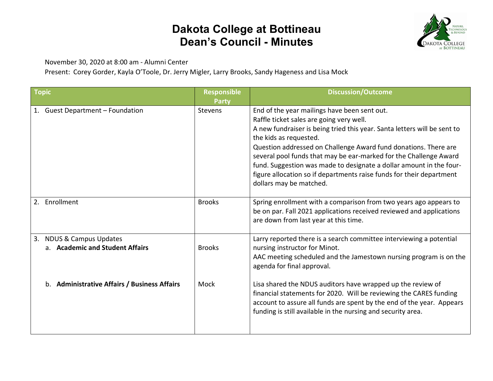## **Dakota College at Bottineau Dean's Council - Minutes**



November 30, 2020 at 8:00 am - Alumni Center

Present: Corey Gorder, Kayla O'Toole, Dr. Jerry Migler, Larry Brooks, Sandy Hageness and Lisa Mock

| <b>Topic</b>                                                              | <b>Responsible</b><br><b>Party</b> | <b>Discussion/Outcome</b>                                                                                                                                                                                                                                                                                                                                                                                                                                                                                        |
|---------------------------------------------------------------------------|------------------------------------|------------------------------------------------------------------------------------------------------------------------------------------------------------------------------------------------------------------------------------------------------------------------------------------------------------------------------------------------------------------------------------------------------------------------------------------------------------------------------------------------------------------|
| 1. Guest Department - Foundation                                          | <b>Stevens</b>                     | End of the year mailings have been sent out.<br>Raffle ticket sales are going very well.<br>A new fundraiser is being tried this year. Santa letters will be sent to<br>the kids as requested.<br>Question addressed on Challenge Award fund donations. There are<br>several pool funds that may be ear-marked for the Challenge Award<br>fund. Suggestion was made to designate a dollar amount in the four-<br>figure allocation so if departments raise funds for their department<br>dollars may be matched. |
| Enrollment<br>2.                                                          | <b>Brooks</b>                      | Spring enrollment with a comparison from two years ago appears to<br>be on par. Fall 2021 applications received reviewed and applications<br>are down from last year at this time.                                                                                                                                                                                                                                                                                                                               |
| <b>NDUS &amp; Campus Updates</b><br>3.<br>a. Academic and Student Affairs | <b>Brooks</b>                      | Larry reported there is a search committee interviewing a potential<br>nursing instructor for Minot.<br>AAC meeting scheduled and the Jamestown nursing program is on the<br>agenda for final approval.                                                                                                                                                                                                                                                                                                          |
| b. Administrative Affairs / Business Affairs                              | Mock                               | Lisa shared the NDUS auditors have wrapped up the review of<br>financial statements for 2020. Will be reviewing the CARES funding<br>account to assure all funds are spent by the end of the year. Appears<br>funding is still available in the nursing and security area.                                                                                                                                                                                                                                       |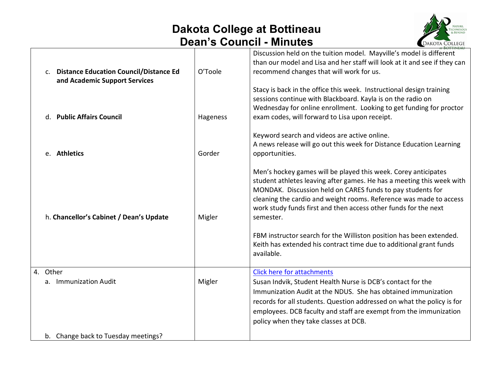## **Dakota College at Bottineau Dean's Council - Minutes**



| c. Distance Education Council/Distance Ed<br>and Academic Support Services | O'Toole  | Discussion held on the tuition model. Mayville's model is different<br>than our model and Lisa and her staff will look at it and see if they can<br>recommend changes that will work for us.                                                                                                                                                                |
|----------------------------------------------------------------------------|----------|-------------------------------------------------------------------------------------------------------------------------------------------------------------------------------------------------------------------------------------------------------------------------------------------------------------------------------------------------------------|
| d. Public Affairs Council                                                  | Hageness | Stacy is back in the office this week. Instructional design training<br>sessions continue with Blackboard. Kayla is on the radio on<br>Wednesday for online enrollment. Looking to get funding for proctor<br>exam codes, will forward to Lisa upon receipt.                                                                                                |
| e. Athletics                                                               | Gorder   | Keyword search and videos are active online.<br>A news release will go out this week for Distance Education Learning<br>opportunities.                                                                                                                                                                                                                      |
| h. Chancellor's Cabinet / Dean's Update                                    | Migler   | Men's hockey games will be played this week. Corey anticipates<br>student athletes leaving after games. He has a meeting this week with<br>MONDAK. Discussion held on CARES funds to pay students for<br>cleaning the cardio and weight rooms. Reference was made to access<br>work study funds first and then access other funds for the next<br>semester. |
|                                                                            |          | FBM instructor search for the Williston position has been extended.<br>Keith has extended his contract time due to additional grant funds<br>available.                                                                                                                                                                                                     |
| 4. Other<br>a. Immunization Audit                                          | Migler   | <b>Click here for attachments</b><br>Susan Indvik, Student Health Nurse is DCB's contact for the<br>Immunization Audit at the NDUS. She has obtained immunization<br>records for all students. Question addressed on what the policy is for<br>employees. DCB faculty and staff are exempt from the immunization<br>policy when they take classes at DCB.   |
| b. Change back to Tuesday meetings?                                        |          |                                                                                                                                                                                                                                                                                                                                                             |